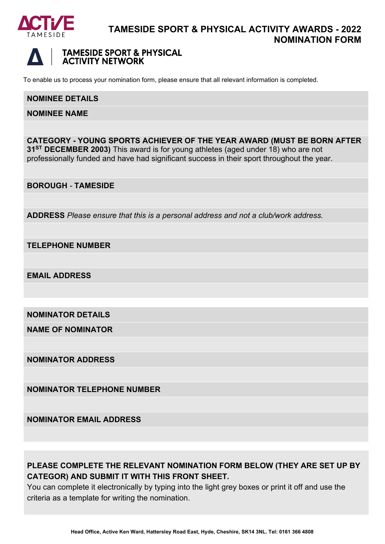

# **TAMESIDE SPORT & PHYSICAL ACTIVITY AWARDS - 2022 NOMINATION FORM**



# **TAMESIDE SPORT & PHYSICAL ACTIVITY NETWORK**

To enable us to process your nomination form, please ensure that all relevant information is completed.

#### **NOMINEE DETAILS**

**NOMINEE NAME**

**CATEGORY - YOUNG SPORTS ACHIEVER OF THE YEAR AWARD (MUST BE BORN AFTER 31ST DECEMBER 2003)** This award is for young athletes (aged under 18) who are not professionally funded and have had significant success in their sport throughout the year.

**BOROUGH** *-* **TAMESIDE**

**ADDRESS** *Please ensure that this is a personal address and not a club/work address.*

**TELEPHONE NUMBER**

**EMAIL ADDRESS**

**NOMINATOR DETAILS**

**NAME OF NOMINATOR**

**NOMINATOR ADDRESS**

**NOMINATOR TELEPHONE NUMBER**

**NOMINATOR EMAIL ADDRESS**

# **PLEASE COMPLETE THE RELEVANT NOMINATION FORM BELOW (THEY ARE SET UP BY CATEGOR) AND SUBMIT IT WITH THIS FRONT SHEET.**

You can complete it electronically by typing into the light grey boxes or print it off and use the criteria as a template for writing the nomination.